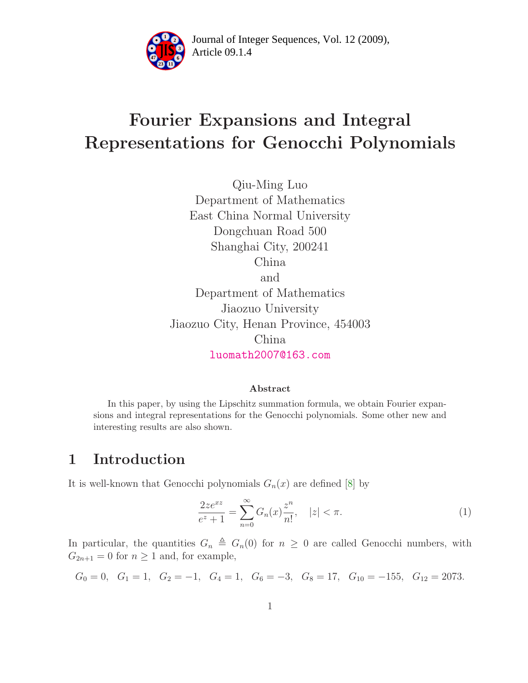

Article 09.1.4 **<sup>2</sup>** Journal of Integer Sequences, Vol. 12 (2009),

# Fourier Expansions and Integral Representations for Genocchi Polynomials

Qiu-Ming Luo Department of Mathematics East China Normal University Dongchuan Road 500 Shanghai City, 200241 China and Department of Mathematics Jiaozuo University Jiaozuo City, Henan Province, 454003 China [luomath2007@163.com](mailto:luomath2007@163.com)

#### <span id="page-0-0"></span>Abstract

In this paper, by using the Lipschitz summation formula, we obtain Fourier expansions and integral representations for the Genocchi polynomials. Some other new and interesting results are also shown.

### 1 Introduction

It is well-known that Genocchi polynomials  $G_n(x)$  are defined [\[8\]](#page-7-0) by

$$
\frac{2ze^{xz}}{e^z+1} = \sum_{n=0}^{\infty} G_n(x)\frac{z^n}{n!}, \quad |z| < \pi. \tag{1}
$$

In particular, the quantities  $G_n \triangleq G_n(0)$  for  $n \geq 0$  are called Genocchi numbers, with  $G_{2n+1} = 0$  for  $n \ge 1$  and, for example,

$$
G_0 = 0
$$
,  $G_1 = 1$ ,  $G_2 = -1$ ,  $G_4 = 1$ ,  $G_6 = -3$ ,  $G_8 = 17$ ,  $G_{10} = -155$ ,  $G_{12} = 2073$ .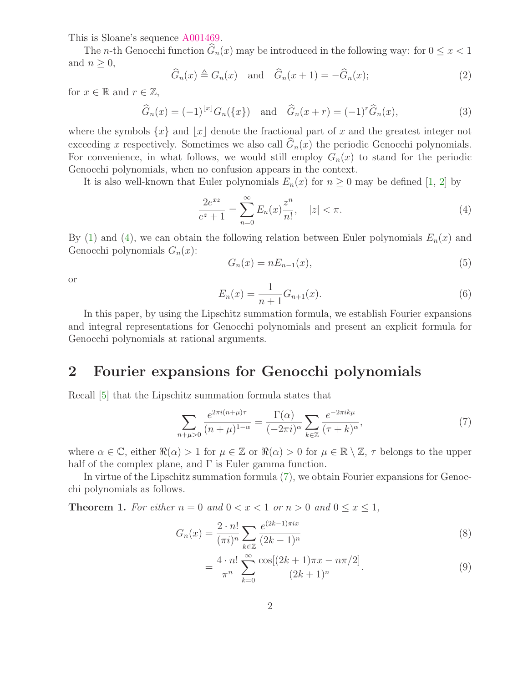This is Sloane's sequence [A001469.](http://www.research.att.com/cgi-bin/access.cgi/as/~njas/sequences/eisA.cgi?Anum=A001469)

The *n*-th Genocchi function  $\widehat{G}_n(x)$  may be introduced in the following way: for  $0 \leq x < 1$ and  $n \geq 0$ ,

$$
\widehat{G}_n(x) \triangleq G_n(x) \quad \text{and} \quad \widehat{G}_n(x+1) = -\widehat{G}_n(x); \tag{2}
$$

for  $x \in \mathbb{R}$  and  $r \in \mathbb{Z}$ ,

$$
\widehat{G}_n(x) = (-1)^{|x|} G_n({x})
$$
 and  $\widehat{G}_n(x+r) = (-1)^r \widehat{G}_n(x)$ , (3)

where the symbols  $\{x\}$  and  $|x|$  denote the fractional part of x and the greatest integer not exceeding x respectively. Sometimes we also call  $\hat{G}_n(x)$  the periodic Genocchi polynomials. For convenience, in what follows, we would still employ  $G_n(x)$  to stand for the periodic Genocchi polynomials, when no confusion appears in the context.

It is also well-known that Euler polynomials  $E_n(x)$  for  $n \geq 0$  may be defined [\[1,](#page-7-1) [2\]](#page-7-2) by

<span id="page-1-5"></span>
$$
\frac{2e^{xz}}{e^z + 1} = \sum_{n=0}^{\infty} E_n(x) \frac{z^n}{n!}, \quad |z| < \pi. \tag{4}
$$

By [\(1\)](#page-0-0) and [\(4\)](#page-1-0), we can obtain the following relation between Euler polynomials  $E_n(x)$  and Genocchi polynomials  $G_n(x)$ :

<span id="page-1-0"></span>
$$
G_n(x) = nE_{n-1}(x),\tag{5}
$$

<span id="page-1-6"></span>or

$$
E_n(x) = \frac{1}{n+1} G_{n+1}(x).
$$
\n(6)

In this paper, by using the Lipschitz summation formula, we establish Fourier expansions and integral representations for Genocchi polynomials and present an explicit formula for Genocchi polynomials at rational arguments.

#### 2 Fourier expansions for Genocchi polynomials

Recall [\[5\]](#page-7-3) that the Lipschitz summation formula states that

<span id="page-1-1"></span>
$$
\sum_{n+\mu>0} \frac{e^{2\pi i (n+\mu)\tau}}{(n+\mu)^{1-\alpha}} = \frac{\Gamma(\alpha)}{(-2\pi i)^{\alpha}} \sum_{k\in\mathbb{Z}} \frac{e^{-2\pi i k\mu}}{(\tau+k)^{\alpha}},\tag{7}
$$

where  $\alpha \in \mathbb{C}$ , either  $\Re(\alpha) > 1$  for  $\mu \in \mathbb{Z}$  or  $\Re(\alpha) > 0$  for  $\mu \in \mathbb{R} \setminus \mathbb{Z}$ ,  $\tau$  belongs to the upper half of the complex plane, and  $\Gamma$  is Euler gamma function.

<span id="page-1-4"></span>In virtue of the Lipschitz summation formula [\(7\)](#page-1-1), we obtain Fourier expansions for Genocchi polynomials as follows.

**Theorem 1.** For either  $n = 0$  and  $0 < x < 1$  or  $n > 0$  and  $0 \le x \le 1$ ,

$$
G_n(x) = \frac{2 \cdot n!}{(\pi i)^n} \sum_{k \in \mathbb{Z}} \frac{e^{(2k-1)\pi ix}}{(2k-1)^n}
$$
 (8)

<span id="page-1-3"></span><span id="page-1-2"></span>
$$
= \frac{4 \cdot n!}{\pi^n} \sum_{k=0}^{\infty} \frac{\cos[(2k+1)\pi x - n\pi/2]}{(2k+1)^n}.
$$
 (9)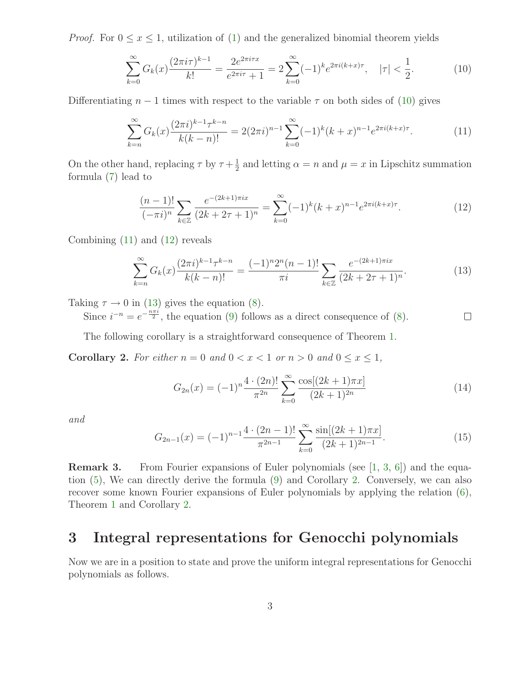*Proof.* For  $0 \le x \le 1$ , utilization of [\(1\)](#page-0-0) and the generalized binomial theorem yields

<span id="page-2-1"></span><span id="page-2-0"></span>
$$
\sum_{k=0}^{\infty} G_k(x) \frac{(2\pi i \tau)^{k-1}}{k!} = \frac{2e^{2\pi i \tau x}}{e^{2\pi i \tau} + 1} = 2 \sum_{k=0}^{\infty} (-1)^k e^{2\pi i (k+x)\tau}, \quad |\tau| < \frac{1}{2}.\tag{10}
$$

Differentiating  $n-1$  times with respect to the variable  $\tau$  on both sides of [\(10\)](#page-2-0) gives

$$
\sum_{k=n}^{\infty} G_k(x) \frac{(2\pi i)^{k-1} \tau^{k-n}}{k(k-n)!} = 2(2\pi i)^{n-1} \sum_{k=0}^{\infty} (-1)^k (k+x)^{n-1} e^{2\pi i (k+x)\tau}.
$$
 (11)

<span id="page-2-2"></span>On the other hand, replacing  $\tau$  by  $\tau + \frac{1}{2}$  $\frac{1}{2}$  and letting  $\alpha = n$  and  $\mu = x$  in Lipschitz summation formula [\(7\)](#page-1-1) lead to

<span id="page-2-3"></span>
$$
\frac{(n-1)!}{(-\pi i)^n} \sum_{k \in \mathbb{Z}} \frac{e^{-(2k+1)\pi ix}}{(2k+2\tau+1)^n} = \sum_{k=0}^{\infty} (-1)^k (k+x)^{n-1} e^{2\pi i (k+x)\tau}.
$$
 (12)

Combining  $(11)$  and  $(12)$  reveals

$$
\sum_{k=n}^{\infty} G_k(x) \frac{(2\pi i)^{k-1} \tau^{k-n}}{k(k-n)!} = \frac{(-1)^n 2^n (n-1)!}{\pi i} \sum_{k \in \mathbb{Z}} \frac{e^{-(2k+1)\pi ix}}{(2k+2\tau+1)^n}.
$$
 (13)

Taking  $\tau \to 0$  in [\(13\)](#page-2-3) gives the equation [\(8\)](#page-1-2).

Since  $i^{-n} = e^{-\frac{n\pi i}{2}}$ , the equation [\(9\)](#page-1-3) follows as a direct consequence of [\(8\)](#page-1-2).  $\Box$ 

The following corollary is a straightforward consequence of Theorem [1.](#page-1-4)

<span id="page-2-4"></span>**Corollary 2.** For either  $n = 0$  and  $0 < x < 1$  or  $n > 0$  and  $0 \le x \le 1$ ,

$$
G_{2n}(x) = (-1)^n \frac{4 \cdot (2n)!}{\pi^{2n}} \sum_{k=0}^{\infty} \frac{\cos[(2k+1)\pi x]}{(2k+1)^{2n}} \tag{14}
$$

and

$$
G_{2n-1}(x) = (-1)^{n-1} \frac{4 \cdot (2n-1)!}{\pi^{2n-1}} \sum_{k=0}^{\infty} \frac{\sin[(2k+1)\pi x]}{(2k+1)^{2n-1}}.
$$
 (15)

**Remark 3.** From Fourier expansions of Euler polynomials (see [\[1,](#page-7-1) [3,](#page-7-4) [6\]](#page-7-5)) and the equation [\(5\)](#page-1-5), We can directly derive the formula [\(9\)](#page-1-3) and Corollary [2.](#page-2-4) Conversely, we can also recover some known Fourier expansions of Euler polynomials by applying the relation [\(6\)](#page-1-6), Theorem [1](#page-1-4) and Corollary [2.](#page-2-4)

#### 3 Integral representations for Genocchi polynomials

<span id="page-2-5"></span>Now we are in a position to state and prove the uniform integral representations for Genocchi polynomials as follows.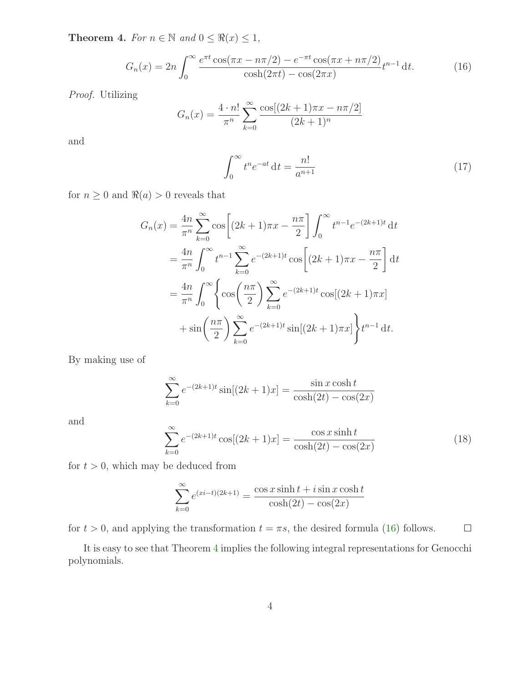**Theorem 4.** For  $n \in \mathbb{N}$  and  $0 \leq \Re(x) \leq 1$ ,

$$
G_n(x) = 2n \int_0^\infty \frac{e^{\pi t} \cos(\pi x - n\pi/2) - e^{-\pi t} \cos(\pi x + n\pi/2)}{\cosh(2\pi t) - \cos(2\pi x)} t^{n-1} dt.
$$
 (16)

Proof. Utilizing

$$
G_n(x) = \frac{4 \cdot n!}{\pi^n} \sum_{k=0}^{\infty} \frac{\cos[(2k+1)\pi x - n\pi/2]}{(2k+1)^n}
$$

and

<span id="page-3-0"></span>
$$
\int_0^\infty t^n e^{-at} \, \mathrm{d}t = \frac{n!}{a^{n+1}}\tag{17}
$$

for  $n \geq 0$  and  $\Re(a) > 0$  reveals that

$$
G_n(x) = \frac{4n}{\pi^n} \sum_{k=0}^{\infty} \cos \left[ (2k+1)\pi x - \frac{n\pi}{2} \right] \int_0^{\infty} t^{n-1} e^{-(2k+1)t} dt
$$
  
=  $\frac{4n}{\pi^n} \int_0^{\infty} t^{n-1} \sum_{k=0}^{\infty} e^{-(2k+1)t} \cos \left[ (2k+1)\pi x - \frac{n\pi}{2} \right] dt$   
=  $\frac{4n}{\pi^n} \int_0^{\infty} \left\{ \cos \left( \frac{n\pi}{2} \right) \sum_{k=0}^{\infty} e^{-(2k+1)t} \cos \left[ (2k+1)\pi x \right] + \sin \left( \frac{n\pi}{2} \right) \sum_{k=0}^{\infty} e^{-(2k+1)t} \sin \left[ (2k+1)\pi x \right] \right\} t^{n-1} dt.$ 

By making use of

$$
\sum_{k=0}^{\infty} e^{-(2k+1)t} \sin[(2k+1)x] = \frac{\sin x \cosh t}{\cosh(2t) - \cos(2x)}
$$

and

$$
\sum_{k=0}^{\infty} e^{-(2k+1)t} \cos[(2k+1)x] = \frac{\cos x \sinh t}{\cosh(2t) - \cos(2x)}
$$
(18)

for  $t > 0$ , which may be deduced from

$$
\sum_{k=0}^{\infty} e^{(xi-t)(2k+1)} = \frac{\cos x \sinh t + i \sin x \cosh t}{\cosh(2t) - \cos(2x)}
$$

for  $t > 0$ , and applying the transformation  $t = \pi s$ , the desired formula [\(16\)](#page-3-0) follows.  $\Box$ 

It is easy to see that Theorem [4](#page-2-5) implies the following integral representations for Genocchi polynomials.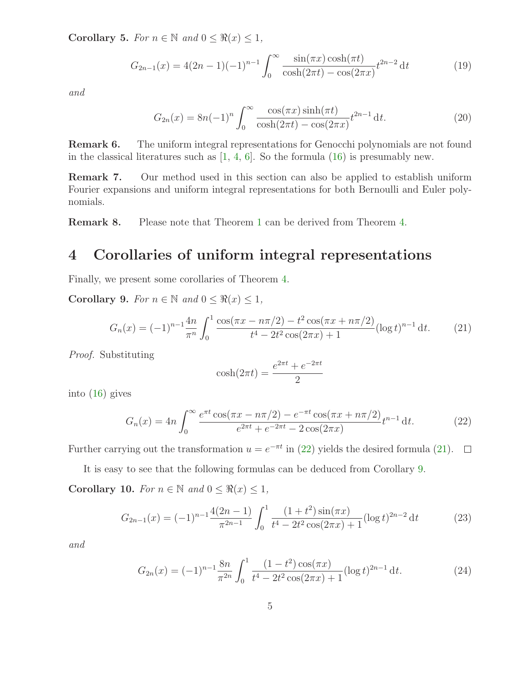Corollary 5. For  $n \in \mathbb{N}$  and  $0 \leq \Re(x) \leq 1$ ,

$$
G_{2n-1}(x) = 4(2n-1)(-1)^{n-1} \int_0^\infty \frac{\sin(\pi x) \cosh(\pi t)}{\cosh(2\pi t) - \cos(2\pi x)} t^{2n-2} dt \tag{19}
$$

and

<span id="page-4-4"></span>
$$
G_{2n}(x) = 8n(-1)^n \int_0^\infty \frac{\cos(\pi x)\sinh(\pi t)}{\cosh(2\pi t) - \cos(2\pi x)} t^{2n-1} dt.
$$
 (20)

Remark 6. The uniform integral representations for Genocchi polynomials are not found in the classical literatures such as  $[1, 4, 6]$  $[1, 4, 6]$  $[1, 4, 6]$  $[1, 4, 6]$ . So the formula  $(16)$  is presumably new.

Remark 7. Our method used in this section can also be applied to establish uniform Fourier expansions and uniform integral representations for both Bernoulli and Euler polynomials.

Remark 8. Please note that Theorem [1](#page-1-4) can be derived from Theorem [4.](#page-2-5)

#### 4 Corollaries of uniform integral representations

<span id="page-4-2"></span>Finally, we present some corollaries of Theorem [4.](#page-2-5)

Corollary 9. For  $n \in \mathbb{N}$  and  $0 \leq \Re(x) \leq 1$ ,

$$
G_n(x) = (-1)^{n-1} \frac{4n}{\pi^n} \int_0^1 \frac{\cos(\pi x - n\pi/2) - t^2 \cos(\pi x + n\pi/2)}{t^4 - 2t^2 \cos(2\pi x) + 1} (\log t)^{n-1} dt.
$$
 (21)

Proof. Substituting

<span id="page-4-1"></span><span id="page-4-0"></span>
$$
\cosh(2\pi t) = \frac{e^{2\pi t} + e^{-2\pi t}}{2}
$$

into [\(16\)](#page-3-0) gives

$$
G_n(x) = 4n \int_0^\infty \frac{e^{\pi t} \cos(\pi x - n\pi/2) - e^{-\pi t} \cos(\pi x + n\pi/2)}{e^{2\pi t} + e^{-2\pi t} - 2\cos(2\pi x)} t^{n-1} dt.
$$
 (22)

Further carrying out the transformation  $u = e^{-\pi t}$  in [\(22\)](#page-4-0) yields the desired formula [\(21\)](#page-4-1).

<span id="page-4-3"></span>It is easy to see that the following formulas can be deduced from Corollary [9.](#page-4-2) Corollary 10. For  $n \in \mathbb{N}$  and  $0 \leq \Re(x) \leq 1$ ,

$$
G_{2n-1}(x) = (-1)^{n-1} \frac{4(2n-1)}{\pi^{2n-1}} \int_0^1 \frac{(1+t^2)\sin(\pi x)}{t^4 - 2t^2\cos(2\pi x) + 1} (\log t)^{2n-2} dt \tag{23}
$$

and

<span id="page-4-5"></span>
$$
G_{2n}(x) = (-1)^{n-1} \frac{8n}{\pi^{2n}} \int_0^1 \frac{(1-t^2)\cos(\pi x)}{t^4 - 2t^2\cos(2\pi x) + 1} (\log t)^{2n-1} dt.
$$
 (24)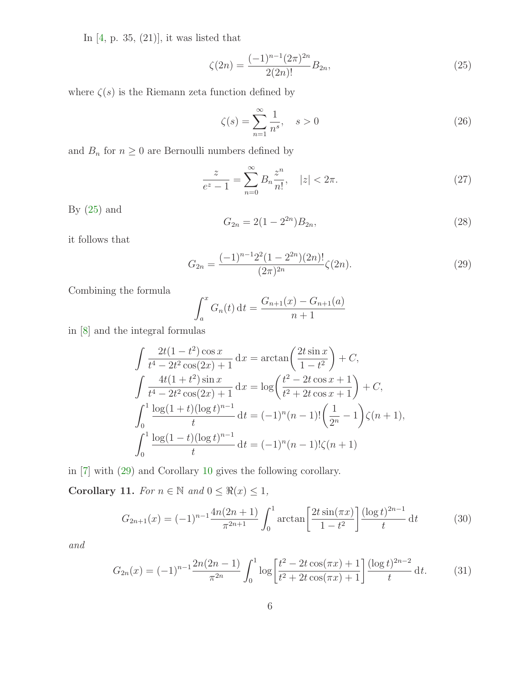In [\[4,](#page-7-6) p. 35, (21)], it was listed that

$$
\zeta(2n) = \frac{(-1)^{n-1}(2\pi)^{2n}}{2(2n)!} B_{2n},\tag{25}
$$

where  $\zeta(s)$  is the Riemann zeta function defined by

<span id="page-5-0"></span>
$$
\zeta(s) = \sum_{n=1}^{\infty} \frac{1}{n^s}, \quad s > 0
$$
\n
$$
(26)
$$

and  $B_n$  for  $n\geq 0$  are Bernoulli numbers defined by

$$
\frac{z}{e^z - 1} = \sum_{n=0}^{\infty} B_n \frac{z^n}{n!}, \quad |z| < 2\pi. \tag{27}
$$

By  $(25)$  and

<span id="page-5-1"></span>
$$
G_{2n} = 2(1 - 2^{2n})B_{2n},\tag{28}
$$

it follows that

$$
G_{2n} = \frac{(-1)^{n-1}2^2(1-2^{2n})(2n)!}{(2\pi)^{2n}}\zeta(2n). \tag{29}
$$

Combining the formula

$$
\int_{a}^{x} G_n(t) dt = \frac{G_{n+1}(x) - G_{n+1}(a)}{n+1}
$$

in [\[8\]](#page-7-0) and the integral formulas

$$
\int \frac{2t(1-t^2)\cos x}{t^4 - 2t^2 \cos(2x) + 1} dx = \arctan\left(\frac{2t \sin x}{1 - t^2}\right) + C,
$$
  

$$
\int \frac{4t(1+t^2)\sin x}{t^4 - 2t^2 \cos(2x) + 1} dx = \log\left(\frac{t^2 - 2t \cos x + 1}{t^2 + 2t \cos x + 1}\right) + C,
$$
  

$$
\int_0^1 \frac{\log(1+t)(\log t)^{n-1}}{t} dt = (-1)^n (n-1)! \left(\frac{1}{2^n} - 1\right) \zeta(n+1),
$$
  

$$
\int_0^1 \frac{\log(1-t)(\log t)^{n-1}}{t} dt = (-1)^n (n-1)! \zeta(n+1)
$$

in [\[7\]](#page-7-7) with [\(29\)](#page-5-1) and Corollary [10](#page-4-3) gives the following corollary.

Corollary 11. For  $n \in \mathbb{N}$  and  $0 \leq \Re(x) \leq 1$ ,

<span id="page-5-2"></span>
$$
G_{2n+1}(x) = (-1)^{n-1} \frac{4n(2n+1)}{\pi^{2n+1}} \int_0^1 \arctan\left[\frac{2t\sin(\pi x)}{1-t^2}\right] \frac{(\log t)^{2n-1}}{t} dt \tag{30}
$$

and

$$
G_{2n}(x) = (-1)^{n-1} \frac{2n(2n-1)}{\pi^{2n}} \int_0^1 \log \left[ \frac{t^2 - 2t \cos(\pi x) + 1}{t^2 + 2t \cos(\pi x) + 1} \right] \frac{(\log t)^{2n-2}}{t} \, \mathrm{d}t. \tag{31}
$$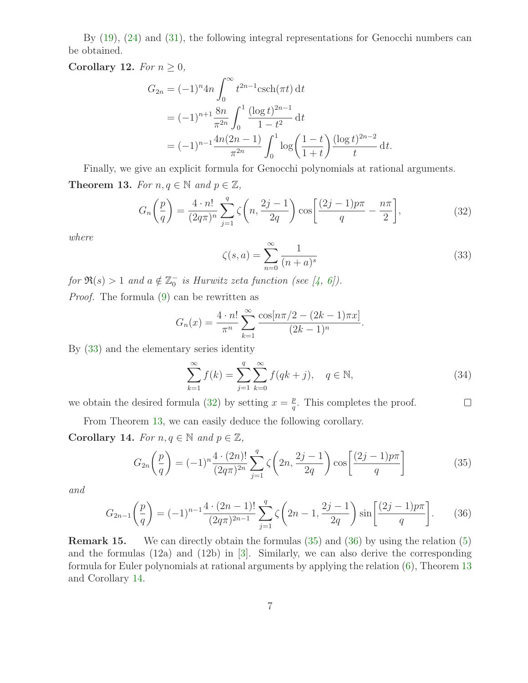By [\(19\)](#page-4-4), [\(24\)](#page-4-5) and [\(31\)](#page-5-2), the following integral representations for Genocchi numbers can be obtained.

Corollary 12. For  $n \geq 0$ ,

$$
G_{2n} = (-1)^n 4n \int_0^{\infty} t^{2n-1} \operatorname{csch}(\pi t) dt
$$
  
=  $(-1)^{n+1} \frac{8n}{\pi^{2n}} \int_0^1 \frac{(\log t)^{2n-1}}{1-t^2} dt$   
=  $(-1)^{n-1} \frac{4n(2n-1)}{\pi^{2n}} \int_0^1 \log \left(\frac{1-t}{1+t}\right) \frac{(\log t)^{2n-2}}{t} dt.$ 

<span id="page-6-2"></span>Finally, we give an explicit formula for Genocchi polynomials at rational arguments. Theorem 13. For  $n, q \in \mathbb{N}$  and  $p \in \mathbb{Z}$ ,

<span id="page-6-1"></span>
$$
G_n\left(\frac{p}{q}\right) = \frac{4 \cdot n!}{(2q\pi)^n} \sum_{j=1}^q \zeta\left(n, \frac{2j-1}{2q}\right) \cos\left[\frac{(2j-1)p\pi}{q} - \frac{n\pi}{2}\right],\tag{32}
$$

<span id="page-6-0"></span>where

$$
\zeta(s,a) = \sum_{n=0}^{\infty} \frac{1}{(n+a)^s} \tag{33}
$$

for  $\Re(s) > 1$  and  $a \notin \mathbb{Z}_0^-$  is Hurwitz zeta function (see [\[4,](#page-7-6) [6\]](#page-7-5)).

Proof. The formula [\(9\)](#page-1-3) can be rewritten as

$$
G_n(x) = \frac{4 \cdot n!}{\pi^n} \sum_{k=1}^{\infty} \frac{\cos[n\pi/2 - (2k-1)\pi x]}{(2k-1)^n}.
$$

By [\(33\)](#page-6-0) and the elementary series identity

<span id="page-6-4"></span><span id="page-6-3"></span>
$$
\sum_{k=1}^{\infty} f(k) = \sum_{j=1}^{q} \sum_{k=0}^{\infty} f(qk + j), \quad q \in \mathbb{N},
$$
\n(34)

we obtain the desired formula [\(32\)](#page-6-1) by setting  $x = \frac{p}{q}$  $\frac{p}{q}$ . This completes the proof.  $\Box$ 

From Theorem [13,](#page-6-2) we can easily deduce the following corollary.

<span id="page-6-5"></span>Corollary 14. For  $n, q \in \mathbb{N}$  and  $p \in \mathbb{Z}$ ,

$$
G_{2n}\left(\frac{p}{q}\right) = (-1)^n \frac{4 \cdot (2n)!}{(2q\pi)^{2n}} \sum_{j=1}^q \zeta\left(2n, \frac{2j-1}{2q}\right) \cos\left[\frac{(2j-1)p\pi}{q}\right]
$$
(35)

and

$$
G_{2n-1}\left(\frac{p}{q}\right) = (-1)^{n-1} \frac{4 \cdot (2n-1)!}{(2q\pi)^{2n-1}} \sum_{j=1}^{q} \zeta\left(2n-1, \frac{2j-1}{2q}\right) \sin\left[\frac{(2j-1)p\pi}{q}\right].
$$
 (36)

Remark 15. We can directly obtain the formulas [\(35\)](#page-6-3) and [\(36\)](#page-6-4) by using the relation [\(5\)](#page-1-5) and the formulas  $(12a)$  and  $(12b)$  in  $[3]$ . Similarly, we can also derive the corresponding formula for Euler polynomials at rational arguments by applying the relation [\(6\)](#page-1-6), Theorem [13](#page-6-2) and Corollary [14.](#page-6-5)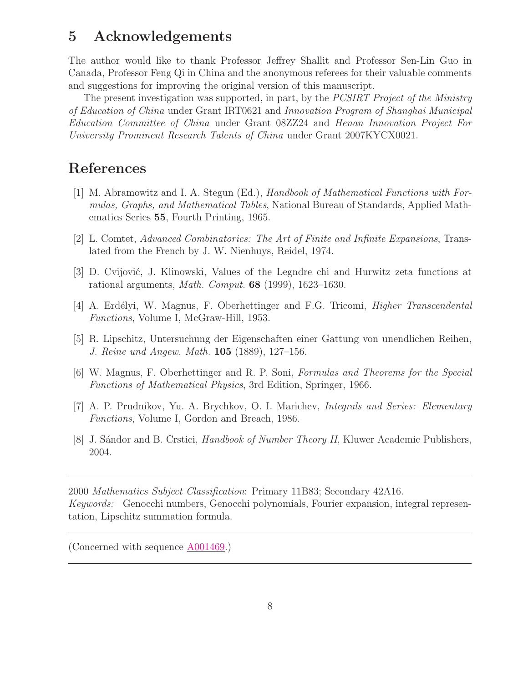#### 5 Acknowledgements

The author would like to thank Professor Jeffrey Shallit and Professor Sen-Lin Guo in Canada, Professor Feng Qi in China and the anonymous referees for their valuable comments and suggestions for improving the original version of this manuscript.

The present investigation was supported, in part, by the PCSIRT Project of the Ministry of Education of China under Grant IRT0621 and Innovation Program of Shanghai Municipal Education Committee of China under Grant 08ZZ24 and Henan Innovation Project For University Prominent Research Talents of China under Grant 2007KYCX0021.

## <span id="page-7-1"></span>References

- [1] M. Abramowitz and I. A. Stegun (Ed.), Handbook of Mathematical Functions with Formulas, Graphs, and Mathematical Tables, National Bureau of Standards, Applied Mathematics Series 55, Fourth Printing, 1965.
- <span id="page-7-4"></span><span id="page-7-2"></span>[2] L. Comtet, Advanced Combinatorics: The Art of Finite and Infinite Expansions, Translated from the French by J. W. Nienhuys, Reidel, 1974.
- <span id="page-7-6"></span>[3] D. Cvijović, J. Klinowski, Values of the Legndre chi and Hurwitz zeta functions at rational arguments, Math. Comput. 68 (1999), 1623–1630.
- <span id="page-7-3"></span>[4] A. Erdélyi, W. Magnus, F. Oberhettinger and F.G. Tricomi, *Higher Transcendental* Functions, Volume I, McGraw-Hill, 1953.
- <span id="page-7-5"></span>[5] R. Lipschitz, Untersuchung der Eigenschaften einer Gattung von unendlichen Reihen, J. Reine und Angew. Math. 105 (1889), 127–156.
- [6] W. Magnus, F. Oberhettinger and R. P. Soni, Formulas and Theorems for the Special Functions of Mathematical Physics, 3rd Edition, Springer, 1966.
- <span id="page-7-7"></span>[7] A. P. Prudnikov, Yu. A. Brychkov, O. I. Marichev, Integrals and Series: Elementary Functions, Volume I, Gordon and Breach, 1986.
- <span id="page-7-0"></span>[8] J. Sándor and B. Crstici, *Handbook of Number Theory II*, Kluwer Academic Publishers, 2004.

2000 Mathematics Subject Classification: Primary 11B83; Secondary 42A16. Keywords: Genocchi numbers, Genocchi polynomials, Fourier expansion, integral representation, Lipschitz summation formula.

(Concerned with sequence [A001469.](http://www.research.att.com/cgi-bin/access.cgi/as/~njas/sequences/eisA.cgi?Anum=A001469))